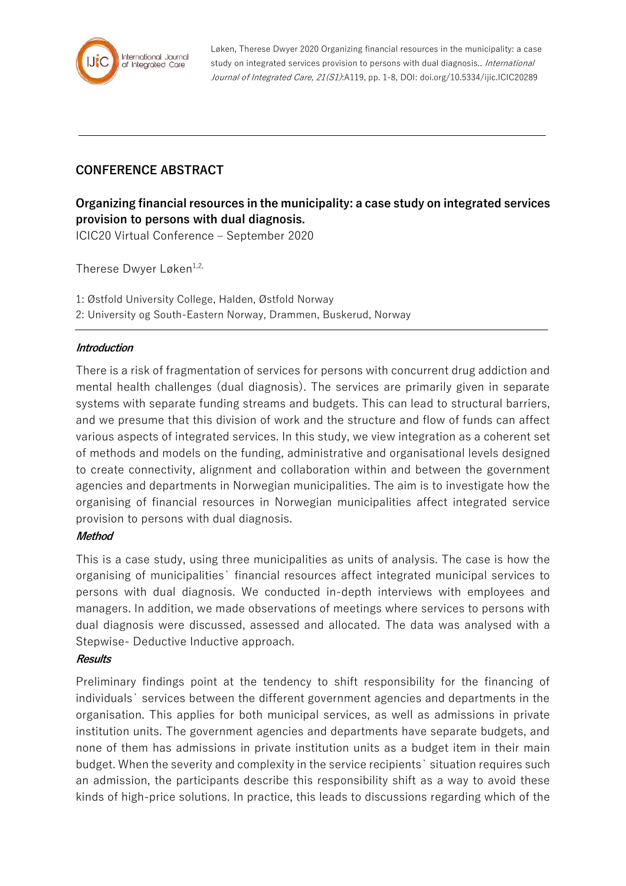

Løken, Therese Dwyer 2020 Organizing financial resources in the municipality: a case study on integrated services provision to persons with dual diagnosis.. International Journal of Integrated Care, 21(S1):A119, pp. 1-8, DOI: doi.org/10.5334/ijic.ICIC20289

# **CONFERENCE ABSTRACT**

**Organizing financial resources in the municipality: a case study on integrated services provision to persons with dual diagnosis.** ICIC20 Virtual Conference – September 2020

Therese Dwyer Løken<sup>1,2,</sup>

1: Østfold University College, Halden, Østfold Norway 2: University og South-Eastern Norway, Drammen, Buskerud, Norway

#### **Introduction**

There is a risk of fragmentation of services for persons with concurrent drug addiction and mental health challenges (dual diagnosis). The services are primarily given in separate systems with separate funding streams and budgets. This can lead to structural barriers, and we presume that this division of work and the structure and flow of funds can affect various aspects of integrated services. In this study, we view integration as a coherent set of methods and models on the funding, administrative and organisational levels designed to create connectivity, alignment and collaboration within and between the government agencies and departments in Norwegian municipalities. The aim is to investigate how the organising of financial resources in Norwegian municipalities affect integrated service provision to persons with dual diagnosis.

#### **Method**

This is a case study, using three municipalities as units of analysis. The case is how the organising of municipalities` financial resources affect integrated municipal services to persons with dual diagnosis. We conducted in-depth interviews with employees and managers. In addition, we made observations of meetings where services to persons with dual diagnosis were discussed, assessed and allocated. The data was analysed with a Stepwise- Deductive Inductive approach.

#### **Results**

Preliminary findings point at the tendency to shift responsibility for the financing of individuals` services between the different government agencies and departments in the organisation. This applies for both municipal services, as well as admissions in private institution units. The government agencies and departments have separate budgets, and none of them has admissions in private institution units as a budget item in their main budget. When the severity and complexity in the service recipients` situation requires such an admission, the participants describe this responsibility shift as a way to avoid these kinds of high-price solutions. In practice, this leads to discussions regarding which of the